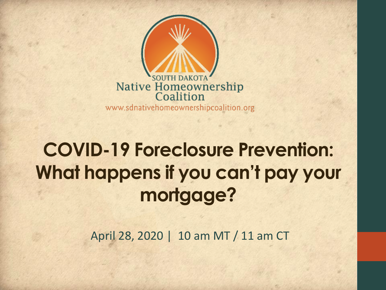

www.sdnativehomeownershipcoalition.org

#### **COVID-19 Foreclosure Prevention: What happens if you can't pay your mortgage?**

April 28, 2020 | 10 am MT / 11 am CT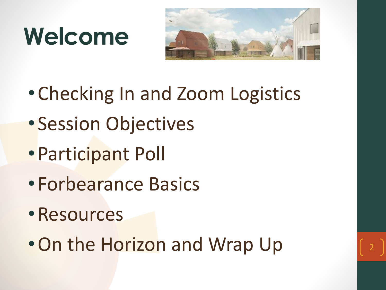## **Welcome**



- •Checking In and Zoom Logistics
- Session Objectives
- •Participant Poll
- •Forbearance Basics
- •Resources
- On the Horizon and Wrap Up

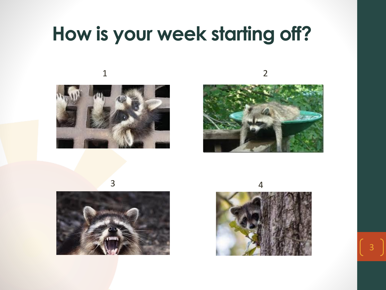#### **How is your week starting off?**

2









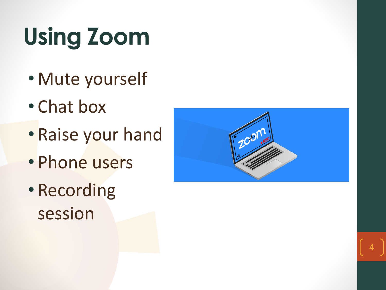# **Using Zoom**

- Mute yourself
- Chat box
- Raise your hand
- Phone users
- Recording session

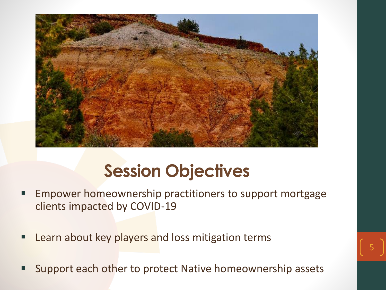

#### **Session Objectives**

- **Empower homeownership practitioners to support mortgage** clients impacted by COVID-19
- **E** Learn about key players and loss mitigation terms
- Support each other to protect Native homeownership assets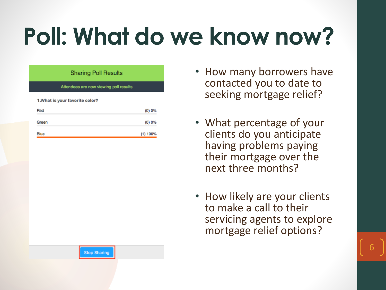## **Poll: What do we know now?**

| <b>Sharing Poll Results</b>            |          |
|----------------------------------------|----------|
| Attendees are now viewing poll results |          |
| 1. What is your favorite color?        |          |
| Red                                    | (0) 0%   |
| Green                                  | (0) 0%   |
| Blue                                   | (1) 100% |

- How many borrowers have contacted you to date to seeking mortgage relief?
- What percentage of your clients do you anticipate having problems paying their mortgage over the next three months?
- How likely are your clients to make a call to their servicing agents to explore mortgage relief options?

**Stop Sharing**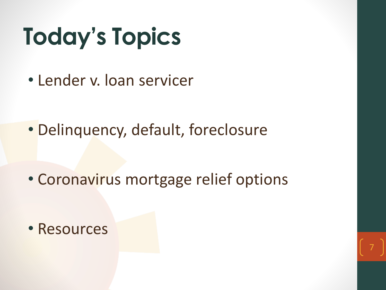# **Today's Topics**

• Lender v. loan servicer

• Delinquency, default, foreclosure

• Coronavirus mortgage relief options

• Resources

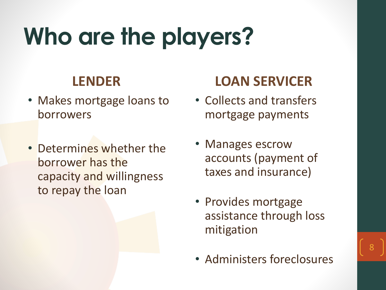## **Who are the players?**

#### **LENDER**

- Makes mortgage loans to borrowers
- Determines whether the borrower has the capacity and willingness to repay the loan

#### **LOAN SERVICER**

- Collects and transfers mortgage payments
- Manages escrow accounts (payment of taxes and insurance)
- Provides mortgage assistance through loss mitigation
- Administers foreclosures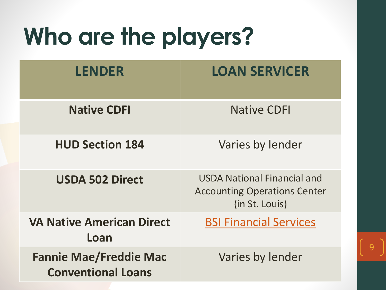## **Who are the players?**

| <b>LENDER</b>                                              | <b>LOAN SERVICER</b>                                                                        |
|------------------------------------------------------------|---------------------------------------------------------------------------------------------|
| <b>Native CDFI</b>                                         | <b>Native CDFI</b>                                                                          |
| <b>HUD Section 184</b>                                     | Varies by lender                                                                            |
| <b>USDA 502 Direct</b>                                     | <b>USDA National Financial and</b><br><b>Accounting Operations Center</b><br>(in St. Louis) |
| <b>VA Native American Direct</b><br>Loan                   | <b>BSI Financial Services</b>                                                               |
| <b>Fannie Mae/Freddie Mac</b><br><b>Conventional Loans</b> | Varies by lender                                                                            |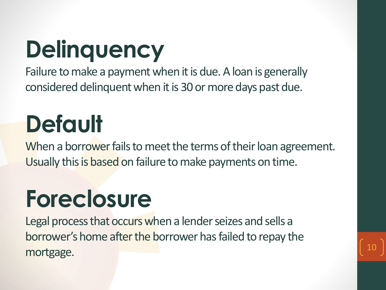# **Delinquency**

Failure to make a payment when it is due. A loan is generally considered delinquent when it is 30 or more days past due.

## **Default**

When a borrower fails to meet the terms of their loan agreement. Usually this is based on failure to make payments on time.

## **Foreclosure**

Legal process that occurs when a lender seizes and sells a borrower's home after the borrower has failed to repay the mortgage.

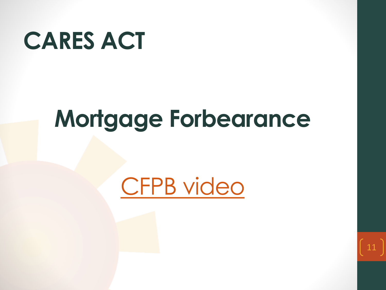

## **Mortgage Forbearance**

### [CFPB video](https://youtu.be/br5EPugsnLs)

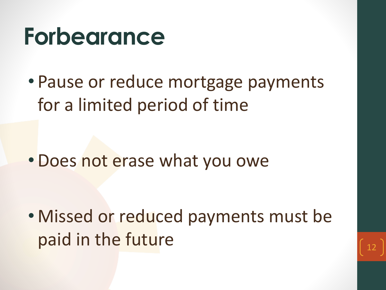## **Forbearance**

• Pause or reduce mortgage payments for a limited period of time

•Does not erase what you owe

• Missed or reduced payments must be paid in the future

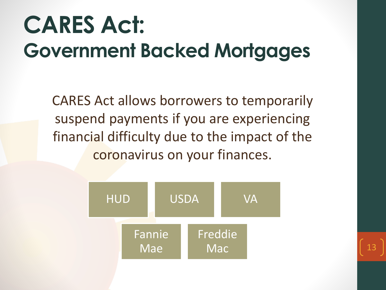## **CARES Act: Government Backed Mortgages**

CARES Act allows borrowers to temporarily suspend payments if you are experiencing financial difficulty due to the impact of the coronavirus on your finances.

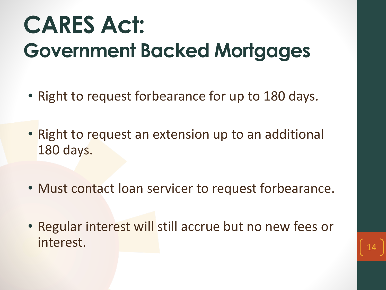### **CARES Act: Government Backed Mortgages**

- Right to request forbearance for up to 180 days.
- Right to request an extension up to an additional 180 days.
- Must contact loan servicer to request forbearance.
- Regular interest will still accrue but no new fees or  $\int 14$

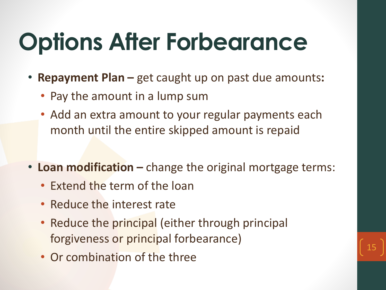## **Options After Forbearance**

- **Repayment Plan –** get caught up on past due amounts**:**
	- Pay the amount in a lump sum
	- Add an extra amount to your regular payments each month until the entire skipped amount is repaid
- **Loan modification –** change the original mortgage terms:
	- Extend the term of the loan
	- Reduce the interest rate
	- Reduce the principal (either through principal forgiveness or principal forbearance)
	- Or combination of the three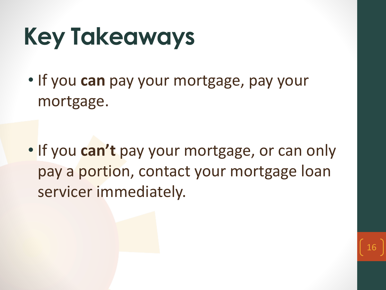## **Key Takeaways**

• If you **can** pay your mortgage, pay your mortgage.

• If you **can't** pay your mortgage, or can only pay a portion, contact your mortgage loan servicer immediately.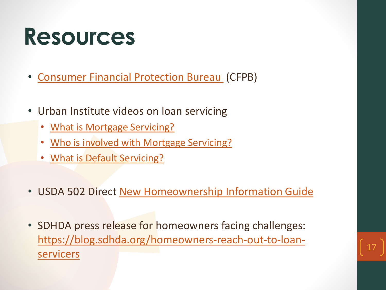## **Resources**

- [Consumer Financial Protection Bureau](https://www.consumerfinance.gov/coronavirus/) (CFPB)
- Urban Institute videos on loan servicing
	- [What is Mortgage Servicing?](https://www.urban.org/policy-centers/housing-finance-policy-center/projects/mortgage-servicing-collaborative/help-me-understand-mortgage-servicing/what-mortgage-servicing)
	- [Who is involved with Mortgage Servicing?](https://www.urban.org/policy-centers/housing-finance-policy-center/projects/mortgage-servicing-collaborative/help-me-understand-mortgage-servicing/who-involved-mortgage-servicing)
	- **[What is Default Servicing?](https://www.urban.org/policy-centers/housing-finance-policy-center/projects/mortgage-servicing-collaborative/help-me-understand-mortgage-servicing/what-default-servicing)**
- USDA 502 Direct [New Homeownership Information Guide](https://www.rd.usda.gov/files/RD-SFH-CustomerServiceInfoGuideEnglish.pdf)
- SDHDA press release for homeowners facing challenges: [https://blog.sdhda.org/homeowners-reach-out-to-loan](https://blog.sdhda.org/homeowners-reach-out-to-loan-servicers)servicers (17

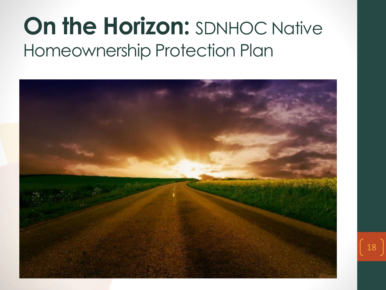#### **On the Horizon: SDNHOC Native** Homeownership Protection Plan